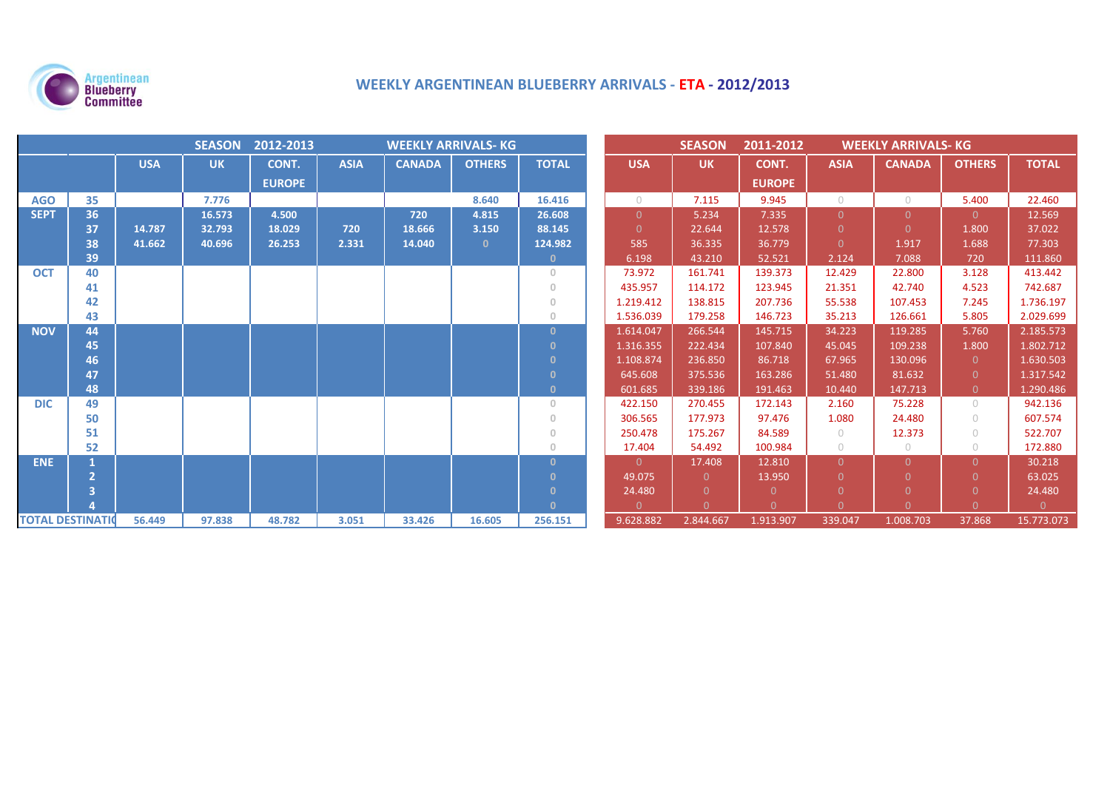

# **WEEKLY ARGENTINEAN BLUEBERRY ARRIVALS - ETA - 2012/2013**

|                          | 2012-2013<br><b>SEASON</b><br><b>WEEKLY ARRIVALS- KG</b> |            |           |               |             |               |               |              | <b>SEASON</b> | 2011-2012<br><b>WEEKLY ARRIVALS- KG</b> |               |                |               |                |              |
|--------------------------|----------------------------------------------------------|------------|-----------|---------------|-------------|---------------|---------------|--------------|---------------|-----------------------------------------|---------------|----------------|---------------|----------------|--------------|
|                          |                                                          | <b>USA</b> | <b>UK</b> | CONT.         | <b>ASIA</b> | <b>CANADA</b> | <b>OTHERS</b> | <b>TOTAL</b> | <b>USA</b>    | <b>UK</b>                               | CONT.         | <b>ASIA</b>    | <b>CANADA</b> | <b>OTHERS</b>  | <b>TOTAL</b> |
|                          |                                                          |            |           | <b>EUROPE</b> |             |               |               |              |               |                                         | <b>EUROPE</b> |                |               |                |              |
| <b>AGO</b>               | 35                                                       |            | 7.776     |               |             |               | 8.640         | 16.416       | $\bigcirc$    | 7.115                                   | 9.945         | $\bigcirc$     | $\circ$       | 5.400          | 22.460       |
| <b>SEPT</b>              | 36                                                       |            | 16.573    | 4.500         |             | 720           | 4.815         | 26.608       | $\Omega$      | 5.234                                   | 7.335         | $\overline{0}$ | $\Omega$      | $\overline{0}$ | 12.569       |
|                          | 37                                                       | 14.787     | 32.793    | 18.029        | 720         | 18.666        | 3.150         | 88.145       | $\Omega$      | 22.644                                  | 12.578        |                | $\Omega$      | 1.800          | 37.022       |
|                          | 38                                                       | 41.662     | 40.696    | 26.253        | 2.331       | 14.040        | $\Omega$      | 124.982      | 585           | 36.335                                  | 36.779        | $\overline{0}$ | 1.917         | 1.688          | 77.303       |
|                          | 39                                                       |            |           |               |             |               |               | $\mathbf{0}$ | 6.198         | 43.210                                  | 52.521        | 2.124          | 7.088         | 720            | 111.860      |
| <b>OCT</b>               | 40                                                       |            |           |               |             |               |               | $\theta$     | 73.972        | 161.741                                 | 139.373       | 12.429         | 22.800        | 3.128          | 413.442      |
|                          | 41                                                       |            |           |               |             |               |               | $\mathbf{0}$ | 435.957       | 114.172                                 | 123.945       | 21.351         | 42.740        | 4.523          | 742.687      |
|                          | 42                                                       |            |           |               |             |               |               | $\mathbf{0}$ | 1.219.412     | 138.815                                 | 207.736       | 55.538         | 107.453       | 7.245          | 1.736.197    |
|                          | 43                                                       |            |           |               |             |               |               | $\mathbf{0}$ | 1.536.039     | 179.258                                 | 146.723       | 35.213         | 126.661       | 5.805          | 2.029.699    |
| <b>NOV</b>               | 44                                                       |            |           |               |             |               |               | $\Omega$     | 1.614.047     | 266.544                                 | 145.715       | 34.223         | 119.285       | 5.760          | 2.185.573    |
|                          | 45                                                       |            |           |               |             |               |               | -0           | 1.316.355     | 222.434                                 | 107.840       | 45.045         | 109.238       | 1.800          | 1.802.712    |
|                          | 46                                                       |            |           |               |             |               |               | $\mathbf{0}$ | 1.108.874     | 236.850                                 | 86.718        | 67.965         | 130.096       | $\overline{0}$ | 1.630.503    |
|                          | 47                                                       |            |           |               |             |               |               | $\mathbf{0}$ | 645.608       | 375.536                                 | 163.286       | 51.480         | 81.632        | $\Omega$       | 1.317.542    |
|                          | 48                                                       |            |           |               |             |               |               | $\mathbf{0}$ | 601.685       | 339.186                                 | 191.463       | 10.440         | 147.713       | $\theta$       | 1.290.486    |
| <b>DIC</b>               | 49                                                       |            |           |               |             |               |               | $\circ$      | 422.150       | 270.455                                 | 172.143       | 2.160          | 75.228        | $\bigcirc$     | 942.136      |
|                          | 50                                                       |            |           |               |             |               |               | $\mathbf{0}$ | 306.565       | 177.973                                 | 97.476        | 1.080          | 24.480        | $\bigcap$      | 607.574      |
|                          | 51                                                       |            |           |               |             |               |               | $\mathbf{0}$ | 250.478       | 175.267                                 | 84.589        | $\circ$        | 12.373        | $\bigcirc$     | 522.707      |
|                          | 52                                                       |            |           |               |             |               |               | $\circ$      | 17.404        | 54.492                                  | 100.984       | $\circ$        | $\bigcirc$    | $\bigcirc$     | 172.880      |
| <b>ENE</b>               |                                                          |            |           |               |             |               |               | $\Omega$     | $\Omega$      | 17.408                                  | 12.810        | $\Omega$       | $\Omega$      | $\Omega$       | 30.218       |
|                          |                                                          |            |           |               |             |               |               | $\mathbf{0}$ | 49.075        | $\Omega$                                | 13.950        | $\Omega$       | $\Omega$      | $\Omega$       | 63.025       |
|                          |                                                          |            |           |               |             |               |               | $\mathbf{0}$ | 24.480        | $\Omega$                                | $\Omega$      |                | $\Omega$      | $\Omega$       | 24.480       |
|                          |                                                          |            |           |               |             |               |               | $\mathbf{0}$ | $\Omega$      | $\Omega$                                | $\Omega$      | $\Omega$       | $\Omega$      | $\Omega$       | $\Omega$     |
| <b>TOTAL DESTINATION</b> |                                                          | 56.449     | 97.838    | 48.782        | 3.051       | 33.426        | 16.605        | 256.151      | 9.628.882     | 2.844.667                               | 1.913.907     | 339.047        | 1.008.703     | 37.868         | 15.773.073   |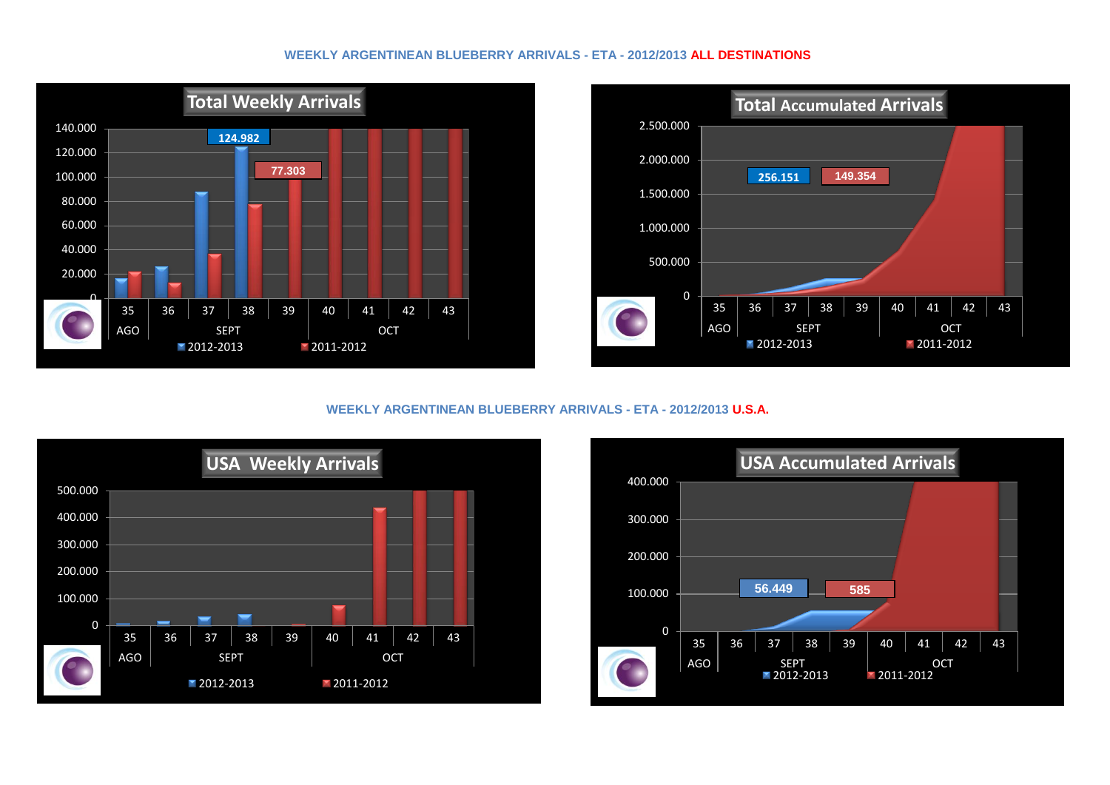#### **WEEKLY ARGENTINEAN BLUEBERRY ARRIVALS - ETA - 2012/2013 ALL DESTINATIONS**





### **WEEKLY ARGENTINEAN BLUEBERRY ARRIVALS - ETA - 2012/2013 U.S.A.**



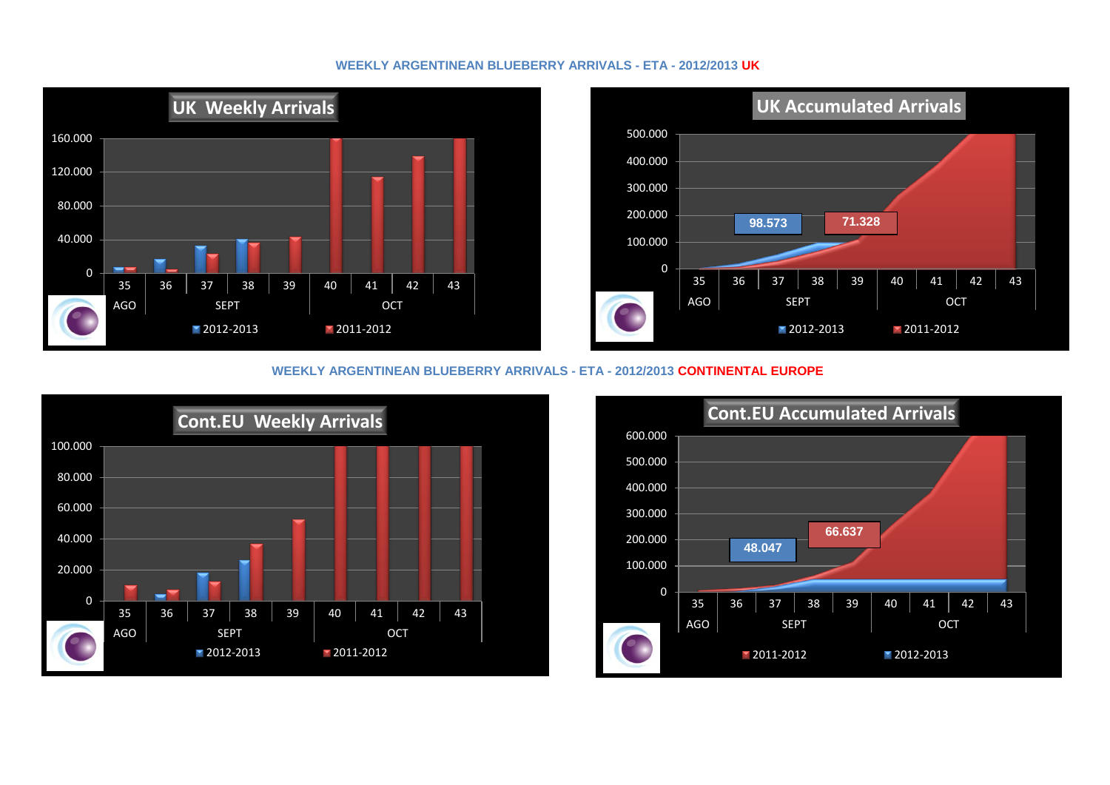#### **WEEKLY ARGENTINEAN BLUEBERRY ARRIVALS - ETA - 2012/2013 UK**





#### **WEEKLY ARGENTINEAN BLUEBERRY ARRIVALS - ETA - 2012/2013 CONTINENTAL EUROPE**